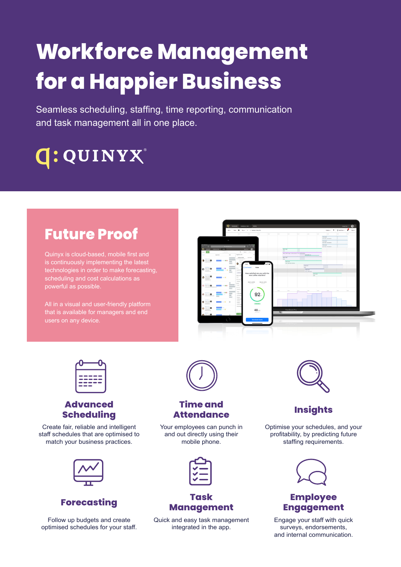# **Workforce Management for a Happier Business**

Seamless scheduling, staffing, time reporting, communication and task management all in one place.

## **G: QUINYX®**

## **Future Proof**

is continuously implementing the latest technologies in order to make forecasting, scheduling and cost calculations as powerful as possible.

All in a visual and user-friendly platform that is available for managers and end





#### **Advanced Scheduling**

Create fair, reliable and intelligent staff schedules that are optimised to match your business practices.



Follow up budgets and create optimised schedules for your staff.



#### **Time and Attendance Insights**

Your employees can punch in and out directly using their mobile phone.

#### **Forecasting Task Management**

Quick and easy task management integrated in the app.



Optimise your schedules, and your profitability, by predicting future staffing requirements.



### **Employee Engagement**

Engage your staff with quick surveys, endorsements, and internal communication.